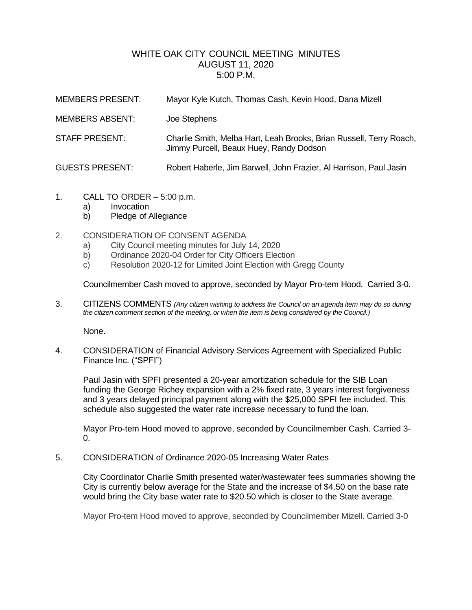# WHITE OAK CITY COUNCIL MEETING MINUTES AUGUST 11, 2020 5:00 P.M.

| <b>MEMBERS PRESENT:</b> | Mayor Kyle Kutch, Thomas Cash, Kevin Hood, Dana Mizell                                                         |
|-------------------------|----------------------------------------------------------------------------------------------------------------|
| <b>MEMBERS ABSENT:</b>  | Joe Stephens                                                                                                   |
| STAFF PRESENT:          | Charlie Smith, Melba Hart, Leah Brooks, Brian Russell, Terry Roach,<br>Jimmy Purcell, Beaux Huey, Randy Dodson |
| <b>GUESTS PRESENT:</b>  | Robert Haberle, Jim Barwell, John Frazier, Al Harrison, Paul Jasin                                             |

- 1. CALL TO ORDER 5:00 p.m.
	- a) Invocation
	- b) Pledge of Allegiance

## 2. CONSIDERATION OF CONSENT AGENDA

- a) City Council meeting minutes for July 14, 2020
- b) Ordinance 2020-04 Order for City Officers Election
- c) Resolution 2020-12 for Limited Joint Election with Gregg County

Councilmember Cash moved to approve, seconded by Mayor Pro-tem Hood. Carried 3-0.

3. CITIZENS COMMENTS *(Any citizen wishing to address the Council on an agenda item may do so during the citizen comment section of the meeting, or when the item is being considered by the Council.)*

None.

4. CONSIDERATION of Financial Advisory Services Agreement with Specialized Public Finance Inc. ("SPFI")

Paul Jasin with SPFI presented a 20-year amortization schedule for the SIB Loan funding the George Richey expansion with a 2% fixed rate, 3 years interest forgiveness and 3 years delayed principal payment along with the \$25,000 SPFI fee included. This schedule also suggested the water rate increase necessary to fund the loan.

Mayor Pro-tem Hood moved to approve, seconded by Councilmember Cash. Carried 3-  $0.$ 

5. CONSIDERATION of Ordinance 2020-05 Increasing Water Rates

City Coordinator Charlie Smith presented water/wastewater fees summaries showing the City is currently below average for the State and the increase of \$4.50 on the base rate would bring the City base water rate to \$20.50 which is closer to the State average.

Mayor Pro-tem Hood moved to approve, seconded by Councilmember Mizell. Carried 3-0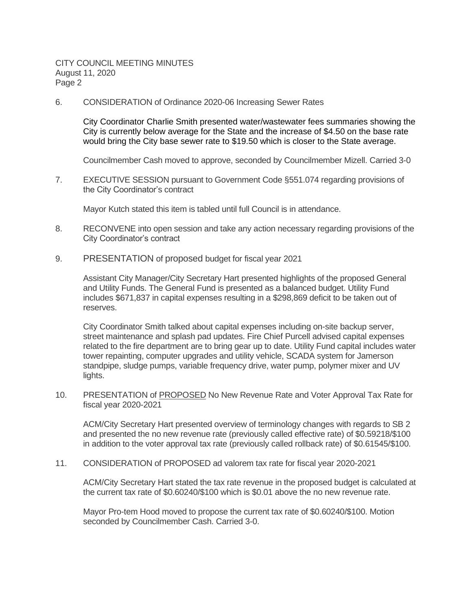CITY COUNCIL MEETING MINUTES August 11, 2020 Page 2

6. CONSIDERATION of Ordinance 2020-06 Increasing Sewer Rates

City Coordinator Charlie Smith presented water/wastewater fees summaries showing the City is currently below average for the State and the increase of \$4.50 on the base rate would bring the City base sewer rate to \$19.50 which is closer to the State average.

Councilmember Cash moved to approve, seconded by Councilmember Mizell. Carried 3-0

7. EXECUTIVE SESSION pursuant to Government Code §551.074 regarding provisions of the City Coordinator's contract

Mayor Kutch stated this item is tabled until full Council is in attendance.

- 8. RECONVENE into open session and take any action necessary regarding provisions of the City Coordinator's contract
- 9. PRESENTATION of proposed budget for fiscal year 2021

Assistant City Manager/City Secretary Hart presented highlights of the proposed General and Utility Funds. The General Fund is presented as a balanced budget. Utility Fund includes \$671,837 in capital expenses resulting in a \$298,869 deficit to be taken out of reserves.

City Coordinator Smith talked about capital expenses including on-site backup server, street maintenance and splash pad updates. Fire Chief Purcell advised capital expenses related to the fire department are to bring gear up to date. Utility Fund capital includes water tower repainting, computer upgrades and utility vehicle, SCADA system for Jamerson standpipe, sludge pumps, variable frequency drive, water pump, polymer mixer and UV lights.

10. PRESENTATION of PROPOSED No New Revenue Rate and Voter Approval Tax Rate for fiscal year 2020-2021

ACM/City Secretary Hart presented overview of terminology changes with regards to SB 2 and presented the no new revenue rate (previously called effective rate) of \$0.59218/\$100 in addition to the voter approval tax rate (previously called rollback rate) of \$0.61545/\$100.

11. CONSIDERATION of PROPOSED ad valorem tax rate for fiscal year 2020-2021

ACM/City Secretary Hart stated the tax rate revenue in the proposed budget is calculated at the current tax rate of \$0.60240/\$100 which is \$0.01 above the no new revenue rate.

Mayor Pro-tem Hood moved to propose the current tax rate of \$0.60240/\$100. Motion seconded by Councilmember Cash. Carried 3-0.